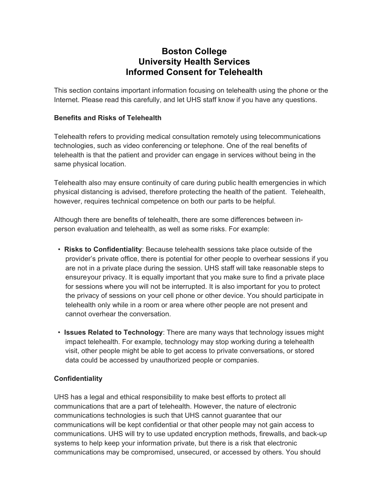# **Boston College University Health Services Informed Consent for Telehealth**

This section contains important information focusing on telehealth using the phone or the Internet. Please read this carefully, and let UHS staff know if you have any questions.

### **Benefits and Risks of Telehealth**

Telehealth refers to providing medical consultation remotely using telecommunications technologies, such as video conferencing or telephone. One of the real benefits of telehealth is that the patient and provider can engage in services without being in the same physical location.

Telehealth also may ensure continuity of care during public health emergencies in which physical distancing is advised, therefore protecting the health of the patient. Telehealth, however, requires technical competence on both our parts to be helpful.

Although there are benefits of telehealth, there are some differences between inperson evaluation and telehealth, as well as some risks. For example:

- **Risks to Confidentiality**: Because telehealth sessions take place outside of the provider's private office, there is potential for other people to overhear sessions if you are not in a private place during the session. UHS staff will take reasonable steps to ensureyour privacy. It is equally important that you make sure to find a private place for sessions where you will not be interrupted. It is also important for you to protect the privacy of sessions on your cell phone or other device. You should participate in telehealth only while in a room or area where other people are not present and cannot overhear the conversation.
- **Issues Related to Technology**: There are many ways that technology issues might impact telehealth. For example, technology may stop working during a telehealth visit, other people might be able to get access to private conversations, or stored data could be accessed by unauthorized people or companies.

# **Confidentiality**

UHS has a legal and ethical responsibility to make best efforts to protect all communications that are a part of telehealth. However, the nature of electronic communications technologies is such that UHS cannot guarantee that our communications will be kept confidential or that other people may not gain access to communications. UHS will try to use updated encryption methods, firewalls, and back-up systems to help keep your information private, but there is a risk that electronic communications may be compromised, unsecured, or accessed by others. You should